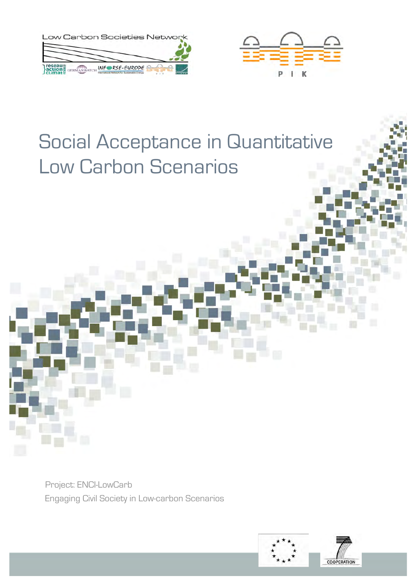



# Social Acceptance in Quantitative Low Carbon Scenarios

Project: ENCI-LowCarb Engaging Civil Society in Low-carbon Scenarios

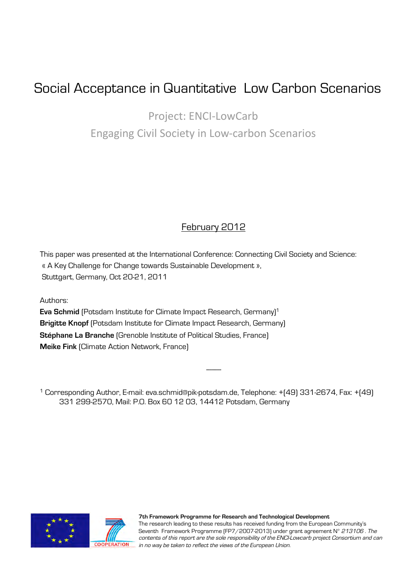## Social Acceptance in Quantitative Low Carbon Scenarios

Project:
ENCI‐LowCarb Engaging
Civil
Society
in
Low‐carbon
Scenarios

### February 2012

This paper was presented at the International Conference: Connecting Civil Society and Science: « A Key Challenge for Change towards Sustainable Development », Stuttgart, Germany, Oct 20-21, 2011

Authors:

**Eva Schmid** [Potsdam Institute for Climate Impact Research, Germany]<sup>1</sup> **Brigitte Knopf** (Potsdam Institute for Climate Impact Research, Germany) **Stéphane La Branche** (Grenoble Institute of Political Studies, France) **Meike Fink** (Climate Action Network, France)

1 Corresponding Author, E-mail: eva.schmid@pik-potsdam.de, Telephone: +(49) 331-2674, Fax: +(49) 331 299-2570, Mail: P.O. Box 60 12 03, 14412 Potsdam, Germany

---------



**7th Framework Programme for Research and Technological Development**  The research leading to these results has received funding from the European Community's Seventh Framework Programme (FP7/2007-2013) under grant agreement N° 213106. The contents of this report are the sole responsibility of the ENCI-Lowcarb project Consortium and can **COOPERATION** in no way be taken to reflect the views of the European Union.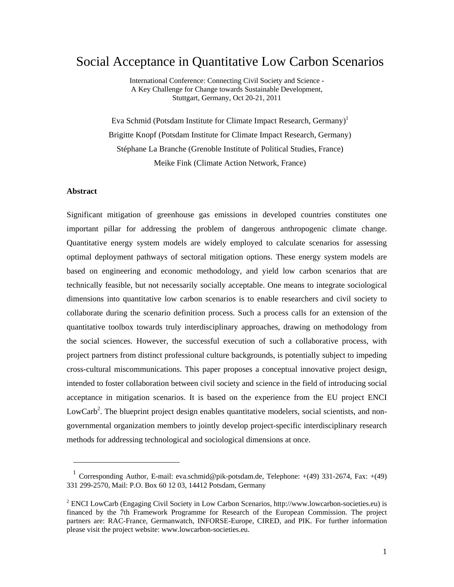### Social Acceptance in Quantitative Low Carbon Scenarios

International Conference: Connecting Civil Society and Science - A Key Challenge for Change towards Sustainable Development, Stuttgart, Germany, Oct 20-21, 2011

Eva Schmid (Potsdam Institute for Climate Impact Research, Germany)<sup>1</sup> Brigitte Knopf (Potsdam Institute for Climate Impact Research, Germany) Stéphane La Branche (Grenoble Institute of Political Studies, France) Meike Fink (Climate Action Network, France)

#### **Abstract**

1

Significant mitigation of greenhouse gas emissions in developed countries constitutes one important pillar for addressing the problem of dangerous anthropogenic climate change. Quantitative energy system models are widely employed to calculate scenarios for assessing optimal deployment pathways of sectoral mitigation options. These energy system models are based on engineering and economic methodology, and yield low carbon scenarios that are technically feasible, but not necessarily socially acceptable. One means to integrate sociological dimensions into quantitative low carbon scenarios is to enable researchers and civil society to collaborate during the scenario definition process. Such a process calls for an extension of the quantitative toolbox towards truly interdisciplinary approaches, drawing on methodology from the social sciences. However, the successful execution of such a collaborative process, with project partners from distinct professional culture backgrounds, is potentially subject to impeding cross-cultural miscommunications. This paper proposes a conceptual innovative project design, intended to foster collaboration between civil society and science in the field of introducing social acceptance in mitigation scenarios. It is based on the experience from the EU project ENCI LowCarb<sup>2</sup>. The blueprint project design enables quantitative modelers, social scientists, and nongovernmental organization members to jointly develop project-specific interdisciplinary research methods for addressing technological and sociological dimensions at once.

<sup>&</sup>lt;sup>1</sup> Corresponding Author, E-mail: eva.schmid@pik-potsdam.de, Telephone:  $+(49)$  331-2674, Fax:  $+(49)$ 331 299-2570, Mail: P.O. Box 60 12 03, 14412 Potsdam, Germany

 $2$  ENCI LowCarb (Engaging Civil Society in Low Carbon Scenarios, http://www.lowcarbon-societies.eu) is financed by the 7th Framework Programme for Research of the European Commission. The project partners are: RAC-France, Germanwatch, INFORSE-Europe, CIRED, and PIK. For further information please visit the project website: www.lowcarbon-societies.eu.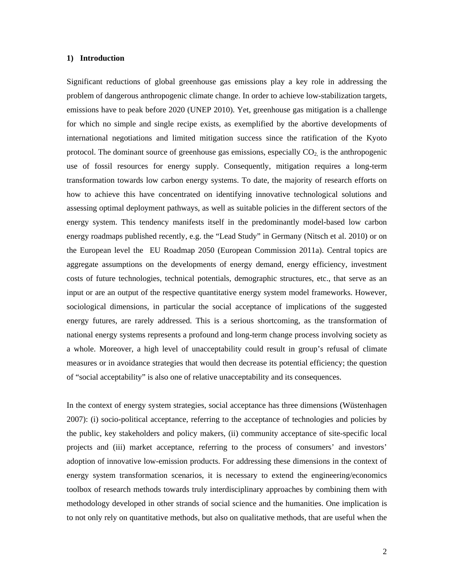#### **1) Introduction**

Significant reductions of global greenhouse gas emissions play a key role in addressing the problem of dangerous anthropogenic climate change. In order to achieve low-stabilization targets, emissions have to peak before 2020 (UNEP 2010). Yet, greenhouse gas mitigation is a challenge for which no simple and single recipe exists, as exemplified by the abortive developments of international negotiations and limited mitigation success since the ratification of the Kyoto protocol. The dominant source of greenhouse gas emissions, especially  $CO<sub>2</sub>$  is the anthropogenic use of fossil resources for energy supply. Consequently, mitigation requires a long-term transformation towards low carbon energy systems. To date, the majority of research efforts on how to achieve this have concentrated on identifying innovative technological solutions and assessing optimal deployment pathways, as well as suitable policies in the different sectors of the energy system. This tendency manifests itself in the predominantly model-based low carbon energy roadmaps published recently, e.g. the "Lead Study" in Germany (Nitsch et al. 2010) or on the European level the EU Roadmap 2050 (European Commission 2011a). Central topics are aggregate assumptions on the developments of energy demand, energy efficiency, investment costs of future technologies, technical potentials, demographic structures, etc., that serve as an input or are an output of the respective quantitative energy system model frameworks. However, sociological dimensions, in particular the social acceptance of implications of the suggested energy futures, are rarely addressed. This is a serious shortcoming, as the transformation of national energy systems represents a profound and long-term change process involving society as a whole. Moreover, a high level of unacceptability could result in group's refusal of climate measures or in avoidance strategies that would then decrease its potential efficiency; the question of "social acceptability" is also one of relative unacceptability and its consequences.

In the context of energy system strategies, social acceptance has three dimensions (Wüstenhagen 2007): (i) socio-political acceptance, referring to the acceptance of technologies and policies by the public, key stakeholders and policy makers, (ii) community acceptance of site-specific local projects and (iii) market acceptance, referring to the process of consumers' and investors' adoption of innovative low-emission products. For addressing these dimensions in the context of energy system transformation scenarios, it is necessary to extend the engineering/economics toolbox of research methods towards truly interdisciplinary approaches by combining them with methodology developed in other strands of social science and the humanities. One implication is to not only rely on quantitative methods, but also on qualitative methods, that are useful when the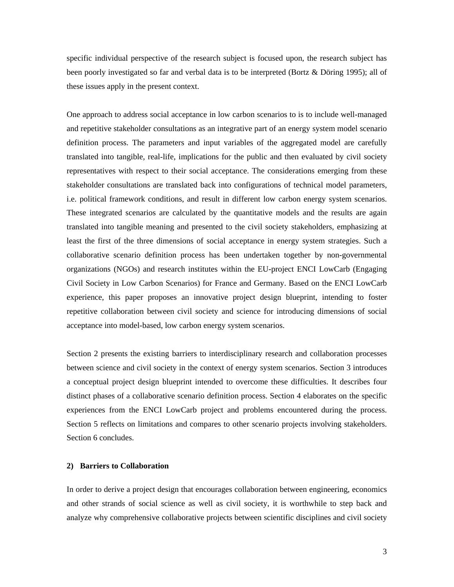specific individual perspective of the research subject is focused upon, the research subject has been poorly investigated so far and verbal data is to be interpreted (Bortz & Döring 1995); all of these issues apply in the present context.

One approach to address social acceptance in low carbon scenarios to is to include well-managed and repetitive stakeholder consultations as an integrative part of an energy system model scenario definition process. The parameters and input variables of the aggregated model are carefully translated into tangible, real-life, implications for the public and then evaluated by civil society representatives with respect to their social acceptance. The considerations emerging from these stakeholder consultations are translated back into configurations of technical model parameters, i.e. political framework conditions, and result in different low carbon energy system scenarios. These integrated scenarios are calculated by the quantitative models and the results are again translated into tangible meaning and presented to the civil society stakeholders, emphasizing at least the first of the three dimensions of social acceptance in energy system strategies. Such a collaborative scenario definition process has been undertaken together by non-governmental organizations (NGOs) and research institutes within the EU-project ENCI LowCarb (Engaging Civil Society in Low Carbon Scenarios) for France and Germany. Based on the ENCI LowCarb experience, this paper proposes an innovative project design blueprint, intending to foster repetitive collaboration between civil society and science for introducing dimensions of social acceptance into model-based, low carbon energy system scenarios.

Section 2 presents the existing barriers to interdisciplinary research and collaboration processes between science and civil society in the context of energy system scenarios. Section 3 introduces a conceptual project design blueprint intended to overcome these difficulties. It describes four distinct phases of a collaborative scenario definition process. Section 4 elaborates on the specific experiences from the ENCI LowCarb project and problems encountered during the process. Section 5 reflects on limitations and compares to other scenario projects involving stakeholders. Section 6 concludes.

#### **2) Barriers to Collaboration**

In order to derive a project design that encourages collaboration between engineering, economics and other strands of social science as well as civil society, it is worthwhile to step back and analyze why comprehensive collaborative projects between scientific disciplines and civil society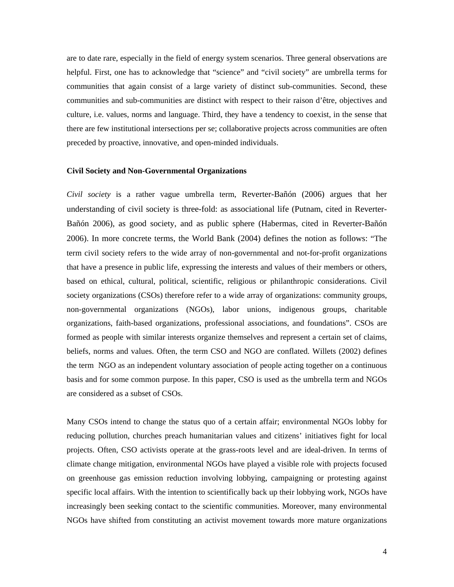are to date rare, especially in the field of energy system scenarios. Three general observations are helpful. First, one has to acknowledge that "science" and "civil society" are umbrella terms for communities that again consist of a large variety of distinct sub-communities. Second, these communities and sub-communities are distinct with respect to their raison d'être, objectives and culture, i.e. values, norms and language. Third, they have a tendency to coexist, in the sense that there are few institutional intersections per se; collaborative projects across communities are often preceded by proactive, innovative, and open-minded individuals.

#### **Civil Society and Non-Governmental Organizations**

*Civil society* is a rather vague umbrella term, Reverter-Bañón (2006) argues that her understanding of civil society is three-fold: as associational life (Putnam, cited in Reverter-Bañón 2006), as good society, and as public sphere (Habermas, cited in Reverter-Bañón 2006). In more concrete terms, the World Bank (2004) defines the notion as follows: "The term civil society refers to the wide array of non-governmental and not-for-profit organizations that have a presence in public life, expressing the interests and values of their members or others, based on ethical, cultural, political, scientific, religious or philanthropic considerations. Civil society organizations (CSOs) therefore refer to a wide array of organizations: community groups, non-governmental organizations (NGOs), labor unions, indigenous groups, charitable organizations, faith-based organizations, professional associations, and foundations". CSOs are formed as people with similar interests organize themselves and represent a certain set of claims, beliefs, norms and values. Often, the term CSO and NGO are conflated. Willets (2002) defines the term NGO as an independent voluntary association of people acting together on a continuous basis and for some common purpose. In this paper, CSO is used as the umbrella term and NGOs are considered as a subset of CSOs.

Many CSOs intend to change the status quo of a certain affair; environmental NGOs lobby for reducing pollution, churches preach humanitarian values and citizens' initiatives fight for local projects. Often, CSO activists operate at the grass-roots level and are ideal-driven. In terms of climate change mitigation, environmental NGOs have played a visible role with projects focused on greenhouse gas emission reduction involving lobbying, campaigning or protesting against specific local affairs. With the intention to scientifically back up their lobbying work, NGOs have increasingly been seeking contact to the scientific communities. Moreover, many environmental NGOs have shifted from constituting an activist movement towards more mature organizations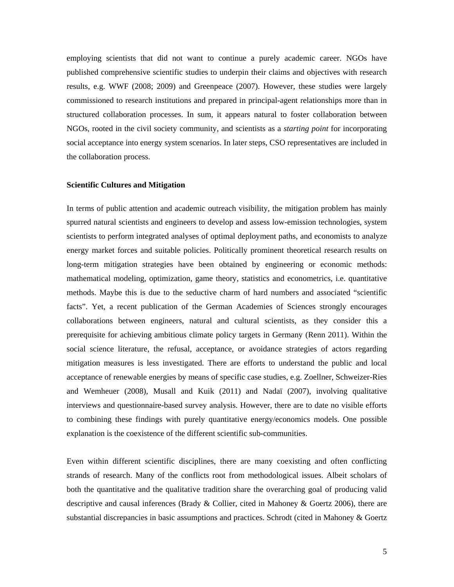employing scientists that did not want to continue a purely academic career. NGOs have published comprehensive scientific studies to underpin their claims and objectives with research results, e.g. WWF (2008; 2009) and Greenpeace (2007). However, these studies were largely commissioned to research institutions and prepared in principal-agent relationships more than in structured collaboration processes. In sum, it appears natural to foster collaboration between NGOs, rooted in the civil society community, and scientists as a *starting point* for incorporating social acceptance into energy system scenarios. In later steps, CSO representatives are included in the collaboration process.

#### **Scientific Cultures and Mitigation**

In terms of public attention and academic outreach visibility, the mitigation problem has mainly spurred natural scientists and engineers to develop and assess low-emission technologies, system scientists to perform integrated analyses of optimal deployment paths, and economists to analyze energy market forces and suitable policies. Politically prominent theoretical research results on long-term mitigation strategies have been obtained by engineering or economic methods: mathematical modeling, optimization, game theory, statistics and econometrics, i.e. quantitative methods. Maybe this is due to the seductive charm of hard numbers and associated "scientific facts". Yet, a recent publication of the German Academies of Sciences strongly encourages collaborations between engineers, natural and cultural scientists, as they consider this a prerequisite for achieving ambitious climate policy targets in Germany (Renn 2011). Within the social science literature, the refusal, acceptance, or avoidance strategies of actors regarding mitigation measures is less investigated. There are efforts to understand the public and local acceptance of renewable energies by means of specific case studies, e.g. Zoellner, Schweizer-Ries and Wemheuer (2008), Musall and Kuik (2011) and Nadaï (2007), involving qualitative interviews and questionnaire-based survey analysis. However, there are to date no visible efforts to combining these findings with purely quantitative energy/economics models. One possible explanation is the coexistence of the different scientific sub-communities.

Even within different scientific disciplines, there are many coexisting and often conflicting strands of research. Many of the conflicts root from methodological issues. Albeit scholars of both the quantitative and the qualitative tradition share the overarching goal of producing valid descriptive and causal inferences (Brady & Collier, cited in Mahoney & Goertz 2006), there are substantial discrepancies in basic assumptions and practices. Schrodt (cited in Mahoney & Goertz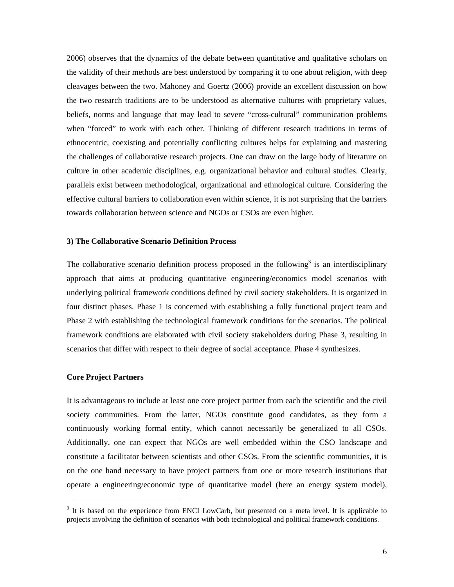2006) observes that the dynamics of the debate between quantitative and qualitative scholars on the validity of their methods are best understood by comparing it to one about religion, with deep cleavages between the two. Mahoney and Goertz (2006) provide an excellent discussion on how the two research traditions are to be understood as alternative cultures with proprietary values, beliefs, norms and language that may lead to severe "cross-cultural" communication problems when "forced" to work with each other. Thinking of different research traditions in terms of ethnocentric, coexisting and potentially conflicting cultures helps for explaining and mastering the challenges of collaborative research projects. One can draw on the large body of literature on culture in other academic disciplines, e.g. organizational behavior and cultural studies. Clearly, parallels exist between methodological, organizational and ethnological culture. Considering the effective cultural barriers to collaboration even within science, it is not surprising that the barriers towards collaboration between science and NGOs or CSOs are even higher.

#### **3) The Collaborative Scenario Definition Process**

The collaborative scenario definition process proposed in the following<sup>3</sup> is an interdisciplinary approach that aims at producing quantitative engineering/economics model scenarios with underlying political framework conditions defined by civil society stakeholders. It is organized in four distinct phases. Phase 1 is concerned with establishing a fully functional project team and Phase 2 with establishing the technological framework conditions for the scenarios. The political framework conditions are elaborated with civil society stakeholders during Phase 3, resulting in scenarios that differ with respect to their degree of social acceptance. Phase 4 synthesizes.

#### **Core Project Partners**

-

It is advantageous to include at least one core project partner from each the scientific and the civil society communities. From the latter, NGOs constitute good candidates, as they form a continuously working formal entity, which cannot necessarily be generalized to all CSOs. Additionally, one can expect that NGOs are well embedded within the CSO landscape and constitute a facilitator between scientists and other CSOs. From the scientific communities, it is on the one hand necessary to have project partners from one or more research institutions that operate a engineering/economic type of quantitative model (here an energy system model),

<sup>&</sup>lt;sup>3</sup> It is based on the experience from ENCI LowCarb, but presented on a meta level. It is applicable to projects involving the definition of scenarios with both technological and political framework conditions.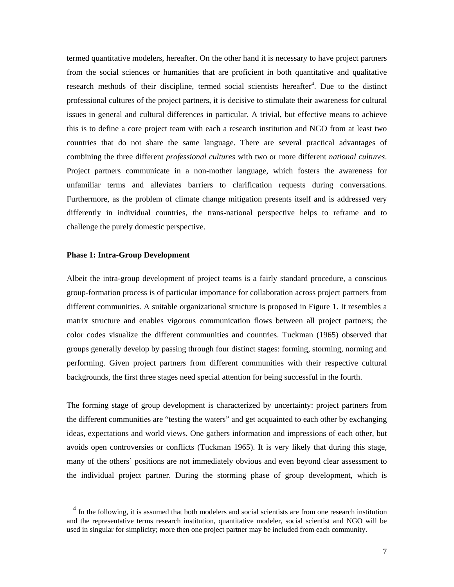termed quantitative modelers, hereafter. On the other hand it is necessary to have project partners from the social sciences or humanities that are proficient in both quantitative and qualitative research methods of their discipline, termed social scientists hereafter<sup>4</sup>. Due to the distinct professional cultures of the project partners, it is decisive to stimulate their awareness for cultural issues in general and cultural differences in particular. A trivial, but effective means to achieve this is to define a core project team with each a research institution and NGO from at least two countries that do not share the same language. There are several practical advantages of combining the three different *professional cultures* with two or more different *national cultures*. Project partners communicate in a non-mother language, which fosters the awareness for unfamiliar terms and alleviates barriers to clarification requests during conversations. Furthermore, as the problem of climate change mitigation presents itself and is addressed very differently in individual countries, the trans-national perspective helps to reframe and to challenge the purely domestic perspective.

#### **Phase 1: Intra-Group Development**

-

Albeit the intra-group development of project teams is a fairly standard procedure, a conscious group-formation process is of particular importance for collaboration across project partners from different communities. A suitable organizational structure is proposed in Figure 1. It resembles a matrix structure and enables vigorous communication flows between all project partners; the color codes visualize the different communities and countries. Tuckman (1965) observed that groups generally develop by passing through four distinct stages: forming, storming, norming and performing. Given project partners from different communities with their respective cultural backgrounds, the first three stages need special attention for being successful in the fourth.

The forming stage of group development is characterized by uncertainty: project partners from the different communities are "testing the waters" and get acquainted to each other by exchanging ideas, expectations and world views. One gathers information and impressions of each other, but avoids open controversies or conflicts (Tuckman 1965). It is very likely that during this stage, many of the others' positions are not immediately obvious and even beyond clear assessment to the individual project partner. During the storming phase of group development, which is

<sup>&</sup>lt;sup>4</sup> In the following, it is assumed that both modelers and social scientists are from one research institution and the representative terms research institution, quantitative modeler, social scientist and NGO will be used in singular for simplicity; more then one project partner may be included from each community.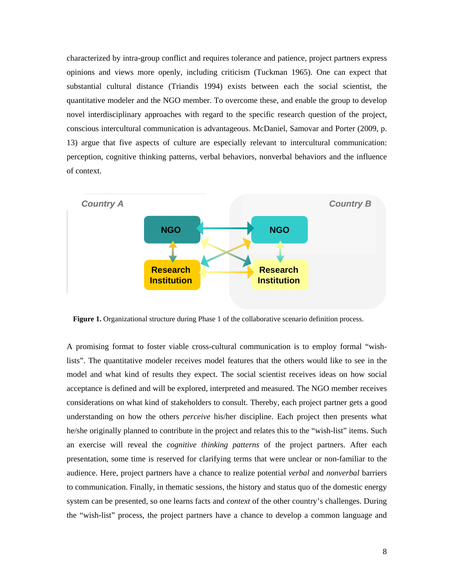characterized by intra-group conflict and requires tolerance and patience, project partners express opinions and views more openly, including criticism (Tuckman 1965). One can expect that substantial cultural distance (Triandis 1994) exists between each the social scientist, the quantitative modeler and the NGO member. To overcome these, and enable the group to develop novel interdisciplinary approaches with regard to the specific research question of the project, conscious intercultural communication is advantageous. McDaniel, Samovar and Porter (2009, p. 13) argue that five aspects of culture are especially relevant to intercultural communication: perception, cognitive thinking patterns, verbal behaviors, nonverbal behaviors and the influence of context.



**Figure 1.** Organizational structure during Phase 1 of the collaborative scenario definition process.

A promising format to foster viable cross-cultural communication is to employ formal "wishlists". The quantitative modeler receives model features that the others would like to see in the model and what kind of results they expect. The social scientist receives ideas on how social acceptance is defined and will be explored, interpreted and measured. The NGO member receives considerations on what kind of stakeholders to consult. Thereby, each project partner gets a good understanding on how the others *perceive* his/her discipline. Each project then presents what he/she originally planned to contribute in the project and relates this to the "wish-list" items. Such an exercise will reveal the *cognitive thinking patterns* of the project partners. After each presentation, some time is reserved for clarifying terms that were unclear or non-familiar to the audience. Here, project partners have a chance to realize potential *verbal* and *nonverbal* barriers to communication. Finally, in thematic sessions, the history and status quo of the domestic energy system can be presented, so one learns facts and *context* of the other country's challenges. During the "wish-list" process, the project partners have a chance to develop a common language and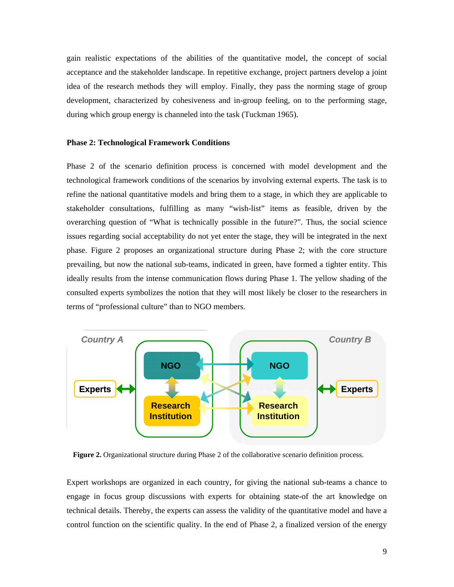gain realistic expectations of the abilities of the quantitative model, the concept of social acceptance and the stakeholder landscape. In repetitive exchange, project partners develop a joint idea of the research methods they will employ. Finally, they pass the norming stage of group development, characterized by cohesiveness and in-group feeling, on to the performing stage, during which group energy is channeled into the task (Tuckman 1965).

#### **Phase 2: Technological Framework Conditions**

Phase 2 of the scenario definition process is concerned with model development and the technological framework conditions of the scenarios by involving external experts. The task is to refine the national quantitative models and bring them to a stage, in which they are applicable to stakeholder consultations, fulfilling as many "wish-list" items as feasible, driven by the overarching question of "What is technically possible in the future?". Thus, the social science issues regarding social acceptability do not yet enter the stage, they will be integrated in the next phase. Figure 2 proposes an organizational structure during Phase 2; with the core structure prevailing, but now the national sub-teams, indicated in green, have formed a tighter entity. This ideally results from the intense communication flows during Phase 1. The yellow shading of the consulted experts symbolizes the notion that they will most likely be closer to the researchers in terms of "professional culture" than to NGO members.



**Figure 2.** Organizational structure during Phase 2 of the collaborative scenario definition process.

Expert workshops are organized in each country, for giving the national sub-teams a chance to engage in focus group discussions with experts for obtaining state-of the art knowledge on technical details. Thereby, the experts can assess the validity of the quantitative model and have a control function on the scientific quality. In the end of Phase 2, a finalized version of the energy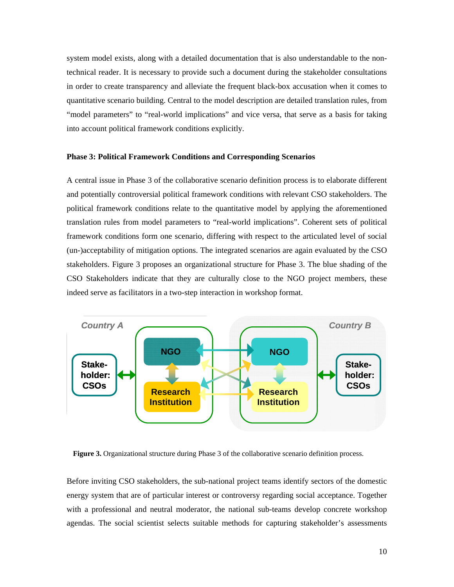system model exists, along with a detailed documentation that is also understandable to the nontechnical reader. It is necessary to provide such a document during the stakeholder consultations in order to create transparency and alleviate the frequent black-box accusation when it comes to quantitative scenario building. Central to the model description are detailed translation rules, from "model parameters" to "real-world implications" and vice versa, that serve as a basis for taking into account political framework conditions explicitly.

#### **Phase 3: Political Framework Conditions and Corresponding Scenarios**

A central issue in Phase 3 of the collaborative scenario definition process is to elaborate different and potentially controversial political framework conditions with relevant CSO stakeholders. The political framework conditions relate to the quantitative model by applying the aforementioned translation rules from model parameters to "real-world implications". Coherent sets of political framework conditions form one scenario, differing with respect to the articulated level of social (un-)acceptability of mitigation options. The integrated scenarios are again evaluated by the CSO stakeholders. Figure 3 proposes an organizational structure for Phase 3. The blue shading of the CSO Stakeholders indicate that they are culturally close to the NGO project members, these indeed serve as facilitators in a two-step interaction in workshop format.



**Figure 3.** Organizational structure during Phase 3 of the collaborative scenario definition process.

Before inviting CSO stakeholders, the sub-national project teams identify sectors of the domestic energy system that are of particular interest or controversy regarding social acceptance. Together with a professional and neutral moderator, the national sub-teams develop concrete workshop agendas. The social scientist selects suitable methods for capturing stakeholder's assessments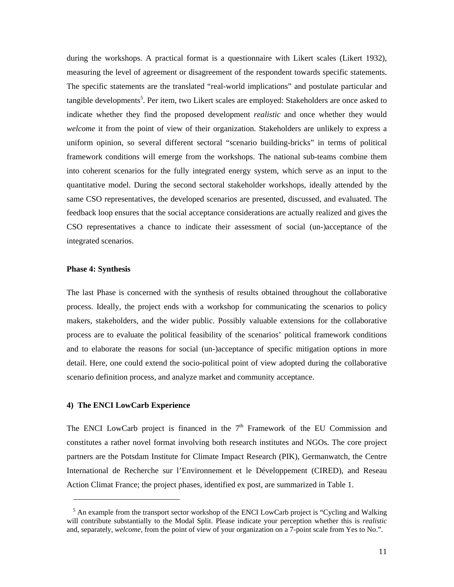during the workshops. A practical format is a questionnaire with Likert scales (Likert 1932), measuring the level of agreement or disagreement of the respondent towards specific statements. The specific statements are the translated "real-world implications" and postulate particular and tangible developments<sup>5</sup>. Per item, two Likert scales are employed: Stakeholders are once asked to indicate whether they find the proposed development *realistic* and once whether they would *welcome* it from the point of view of their organization. Stakeholders are unlikely to express a uniform opinion, so several different sectoral "scenario building-bricks" in terms of political framework conditions will emerge from the workshops. The national sub-teams combine them into coherent scenarios for the fully integrated energy system, which serve as an input to the quantitative model. During the second sectoral stakeholder workshops, ideally attended by the same CSO representatives, the developed scenarios are presented, discussed, and evaluated. The feedback loop ensures that the social acceptance considerations are actually realized and gives the CSO representatives a chance to indicate their assessment of social (un-)acceptance of the integrated scenarios.

#### **Phase 4: Synthesis**

1

The last Phase is concerned with the synthesis of results obtained throughout the collaborative process. Ideally, the project ends with a workshop for communicating the scenarios to policy makers, stakeholders, and the wider public. Possibly valuable extensions for the collaborative process are to evaluate the political feasibility of the scenarios' political framework conditions and to elaborate the reasons for social (un-)acceptance of specific mitigation options in more detail. Here, one could extend the socio-political point of view adopted during the collaborative scenario definition process, and analyze market and community acceptance.

#### **4) The ENCI LowCarb Experience**

The ENCI LowCarb project is financed in the  $7<sup>th</sup>$  Framework of the EU Commission and constitutes a rather novel format involving both research institutes and NGOs. The core project partners are the Potsdam Institute for Climate Impact Research (PIK), Germanwatch, the Centre International de Recherche sur l'Environnement et le Développement (CIRED), and Reseau Action Climat France; the project phases, identified ex post, are summarized in Table 1.

<sup>&</sup>lt;sup>5</sup> An example from the transport sector workshop of the ENCI LowCarb project is "Cycling and Walking" will contribute substantially to the Modal Split. Please indicate your perception whether this is *realistic* and, separately, *welcome*, from the point of view of your organization on a 7-point scale from Yes to No.".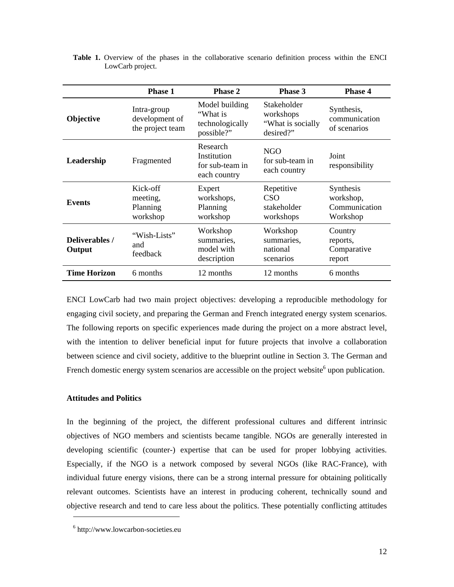|                          | <b>Phase 1</b>                                    | <b>Phase 2</b>                                              | <b>Phase 3</b>                                              | <b>Phase 4</b>                                      |  |
|--------------------------|---------------------------------------------------|-------------------------------------------------------------|-------------------------------------------------------------|-----------------------------------------------------|--|
| <b>Objective</b>         | Intra-group<br>development of<br>the project team | Model building<br>"What is<br>technologically<br>possible?" | Stakeholder<br>workshops<br>"What is socially"<br>desired?" | Synthesis,<br>communication<br>of scenarios         |  |
| Leadership               | Fragmented                                        | Research<br>Institution<br>for sub-team in<br>each country  | NGO<br>for sub-team in<br>each country                      | Joint<br>responsibility                             |  |
| <b>Events</b>            | Kick-off<br>meeting,<br>Planning<br>workshop      | Expert<br>workshops,<br>Planning<br>workshop                | Repetitive<br>CSO<br>stakeholder<br>workshops               | Synthesis<br>workshop,<br>Communication<br>Workshop |  |
| Deliverables /<br>Output | "Wish-Lists"<br>and<br>feedback                   | Workshop<br>summaries.<br>model with<br>description         | Workshop<br>summaries,<br>national<br>scenarios             | Country<br>reports,<br>Comparative<br>report        |  |
| <b>Time Horizon</b>      | 6 months                                          | 12 months                                                   | 12 months                                                   | 6 months                                            |  |

|                  |  |  |  |  |  |  | Table 1. Overview of the phases in the collaborative scenario definition process within the ENCI |  |  |  |
|------------------|--|--|--|--|--|--|--------------------------------------------------------------------------------------------------|--|--|--|
| LowCarb project. |  |  |  |  |  |  |                                                                                                  |  |  |  |

ENCI LowCarb had two main project objectives: developing a reproducible methodology for engaging civil society, and preparing the German and French integrated energy system scenarios. The following reports on specific experiences made during the project on a more abstract level, with the intention to deliver beneficial input for future projects that involve a collaboration between science and civil society, additive to the blueprint outline in Section 3. The German and French domestic energy system scenarios are accessible on the project website  $6$  upon publication.

#### **Attitudes and Politics**

1

In the beginning of the project, the different professional cultures and different intrinsic objectives of NGO members and scientists became tangible. NGOs are generally interested in developing scientific (counter-) expertise that can be used for proper lobbying activities. Especially, if the NGO is a network composed by several NGOs (like RAC-France), with individual future energy visions, there can be a strong internal pressure for obtaining politically relevant outcomes. Scientists have an interest in producing coherent, technically sound and objective research and tend to care less about the politics. These potentially conflicting attitudes

<sup>6</sup> http://www.lowcarbon-societies.eu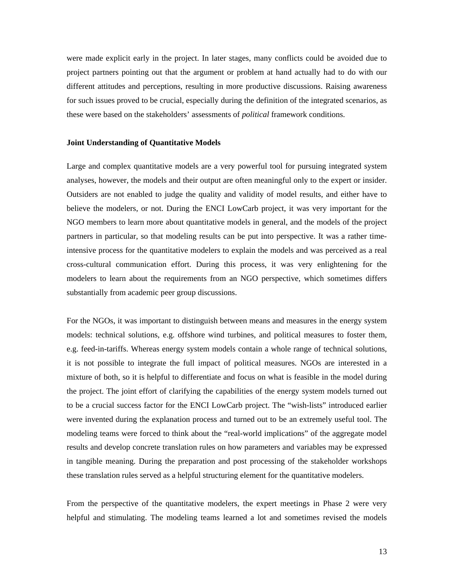were made explicit early in the project. In later stages, many conflicts could be avoided due to project partners pointing out that the argument or problem at hand actually had to do with our different attitudes and perceptions, resulting in more productive discussions. Raising awareness for such issues proved to be crucial, especially during the definition of the integrated scenarios, as these were based on the stakeholders' assessments of *political* framework conditions.

#### **Joint Understanding of Quantitative Models**

Large and complex quantitative models are a very powerful tool for pursuing integrated system analyses, however, the models and their output are often meaningful only to the expert or insider. Outsiders are not enabled to judge the quality and validity of model results, and either have to believe the modelers, or not. During the ENCI LowCarb project, it was very important for the NGO members to learn more about quantitative models in general, and the models of the project partners in particular, so that modeling results can be put into perspective. It was a rather timeintensive process for the quantitative modelers to explain the models and was perceived as a real cross-cultural communication effort. During this process, it was very enlightening for the modelers to learn about the requirements from an NGO perspective, which sometimes differs substantially from academic peer group discussions.

For the NGOs, it was important to distinguish between means and measures in the energy system models: technical solutions, e.g. offshore wind turbines, and political measures to foster them, e.g. feed-in-tariffs. Whereas energy system models contain a whole range of technical solutions, it is not possible to integrate the full impact of political measures. NGOs are interested in a mixture of both, so it is helpful to differentiate and focus on what is feasible in the model during the project. The joint effort of clarifying the capabilities of the energy system models turned out to be a crucial success factor for the ENCI LowCarb project. The "wish-lists" introduced earlier were invented during the explanation process and turned out to be an extremely useful tool. The modeling teams were forced to think about the "real-world implications" of the aggregate model results and develop concrete translation rules on how parameters and variables may be expressed in tangible meaning. During the preparation and post processing of the stakeholder workshops these translation rules served as a helpful structuring element for the quantitative modelers.

From the perspective of the quantitative modelers, the expert meetings in Phase 2 were very helpful and stimulating. The modeling teams learned a lot and sometimes revised the models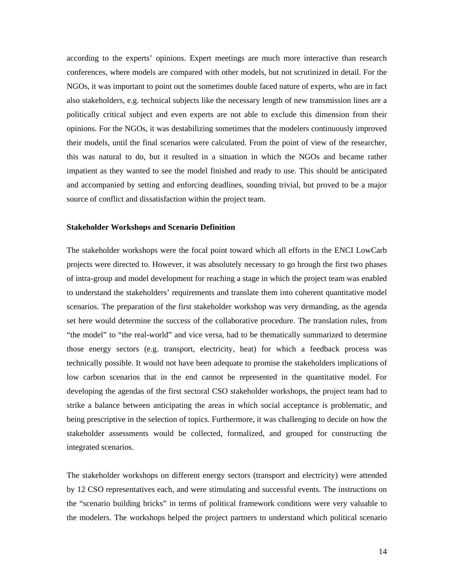according to the experts' opinions. Expert meetings are much more interactive than research conferences, where models are compared with other models, but not scrutinized in detail. For the NGOs, it was important to point out the sometimes double faced nature of experts, who are in fact also stakeholders, e.g. technical subjects like the necessary length of new transmission lines are a politically critical subject and even experts are not able to exclude this dimension from their opinions. For the NGOs, it was destabilizing sometimes that the modelers continuously improved their models, until the final scenarios were calculated. From the point of view of the researcher, this was natural to do, but it resulted in a situation in which the NGOs and became rather impatient as they wanted to see the model finished and ready to use. This should be anticipated and accompanied by setting and enforcing deadlines, sounding trivial, but proved to be a major source of conflict and dissatisfaction within the project team.

#### **Stakeholder Workshops and Scenario Definition**

The stakeholder workshops were the focal point toward which all efforts in the ENCI LowCarb projects were directed to. However, it was absolutely necessary to go hrough the first two phases of intra-group and model development for reaching a stage in which the project team was enabled to understand the stakeholders' requirements and translate them into coherent quantitative model scenarios. The preparation of the first stakeholder workshop was very demanding, as the agenda set here would determine the success of the collaborative procedure. The translation rules, from "the model" to "the real-world" and vice versa, had to be thematically summarized to determine those energy sectors (e.g. transport, electricity, heat) for which a feedback process was technically possible. It would not have been adequate to promise the stakeholders implications of low carbon scenarios that in the end cannot be represented in the quantitative model. For developing the agendas of the first sectoral CSO stakeholder workshops, the project team had to strike a balance between anticipating the areas in which social acceptance is problematic, and being prescriptive in the selection of topics. Furthermore, it was challenging to decide on how the stakeholder assessments would be collected, formalized, and grouped for constructing the integrated scenarios.

The stakeholder workshops on different energy sectors (transport and electricity) were attended by 12 CSO representatives each, and were stimulating and successful events. The instructions on the "scenario building bricks" in terms of political framework conditions were very valuable to the modelers. The workshops helped the project partners to understand which political scenario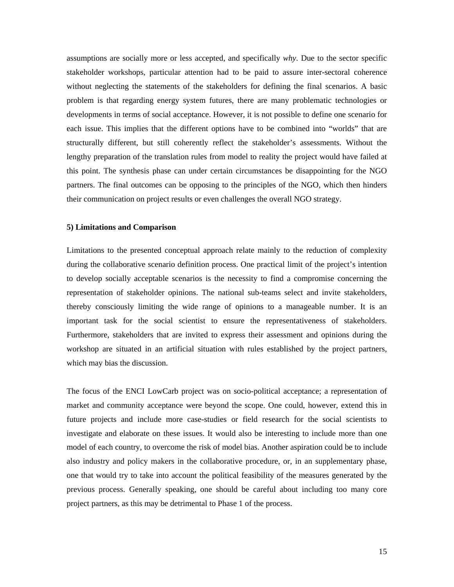assumptions are socially more or less accepted, and specifically *why*. Due to the sector specific stakeholder workshops, particular attention had to be paid to assure inter-sectoral coherence without neglecting the statements of the stakeholders for defining the final scenarios. A basic problem is that regarding energy system futures, there are many problematic technologies or developments in terms of social acceptance. However, it is not possible to define one scenario for each issue. This implies that the different options have to be combined into "worlds" that are structurally different, but still coherently reflect the stakeholder's assessments. Without the lengthy preparation of the translation rules from model to reality the project would have failed at this point. The synthesis phase can under certain circumstances be disappointing for the NGO partners. The final outcomes can be opposing to the principles of the NGO, which then hinders their communication on project results or even challenges the overall NGO strategy.

#### **5) Limitations and Comparison**

Limitations to the presented conceptual approach relate mainly to the reduction of complexity during the collaborative scenario definition process. One practical limit of the project's intention to develop socially acceptable scenarios is the necessity to find a compromise concerning the representation of stakeholder opinions. The national sub-teams select and invite stakeholders, thereby consciously limiting the wide range of opinions to a manageable number. It is an important task for the social scientist to ensure the representativeness of stakeholders. Furthermore, stakeholders that are invited to express their assessment and opinions during the workshop are situated in an artificial situation with rules established by the project partners, which may bias the discussion.

The focus of the ENCI LowCarb project was on socio-political acceptance; a representation of market and community acceptance were beyond the scope. One could, however, extend this in future projects and include more case-studies or field research for the social scientists to investigate and elaborate on these issues. It would also be interesting to include more than one model of each country, to overcome the risk of model bias. Another aspiration could be to include also industry and policy makers in the collaborative procedure, or, in an supplementary phase, one that would try to take into account the political feasibility of the measures generated by the previous process. Generally speaking, one should be careful about including too many core project partners, as this may be detrimental to Phase 1 of the process.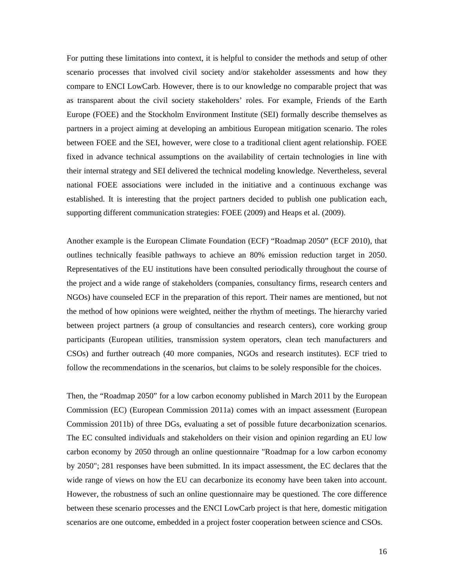For putting these limitations into context, it is helpful to consider the methods and setup of other scenario processes that involved civil society and/or stakeholder assessments and how they compare to ENCI LowCarb. However, there is to our knowledge no comparable project that was as transparent about the civil society stakeholders' roles. For example, Friends of the Earth Europe (FOEE) and the Stockholm Environment Institute (SEI) formally describe themselves as partners in a project aiming at developing an ambitious European mitigation scenario. The roles between FOEE and the SEI, however, were close to a traditional client agent relationship. FOEE fixed in advance technical assumptions on the availability of certain technologies in line with their internal strategy and SEI delivered the technical modeling knowledge. Nevertheless, several national FOEE associations were included in the initiative and a continuous exchange was established. It is interesting that the project partners decided to publish one publication each, supporting different communication strategies: FOEE (2009) and Heaps et al. (2009).

Another example is the European Climate Foundation (ECF) "Roadmap 2050" (ECF 2010), that outlines technically feasible pathways to achieve an 80% emission reduction target in 2050. Representatives of the EU institutions have been consulted periodically throughout the course of the project and a wide range of stakeholders (companies, consultancy firms, research centers and NGOs) have counseled ECF in the preparation of this report. Their names are mentioned, but not the method of how opinions were weighted, neither the rhythm of meetings. The hierarchy varied between project partners (a group of consultancies and research centers), core working group participants (European utilities, transmission system operators, clean tech manufacturers and CSOs) and further outreach (40 more companies, NGOs and research institutes). ECF tried to follow the recommendations in the scenarios, but claims to be solely responsible for the choices.

Then, the "Roadmap 2050" for a low carbon economy published in March 2011 by the European Commission (EC) (European Commission 2011a) comes with an impact assessment (European Commission 2011b) of three DGs, evaluating a set of possible future decarbonization scenarios. The EC consulted individuals and stakeholders on their vision and opinion regarding an EU low carbon economy by 2050 through an online questionnaire "Roadmap for a low carbon economy by 2050"; 281 responses have been submitted. In its impact assessment, the EC declares that the wide range of views on how the EU can decarbonize its economy have been taken into account. However, the robustness of such an online questionnaire may be questioned. The core difference between these scenario processes and the ENCI LowCarb project is that here, domestic mitigation scenarios are one outcome, embedded in a project foster cooperation between science and CSOs.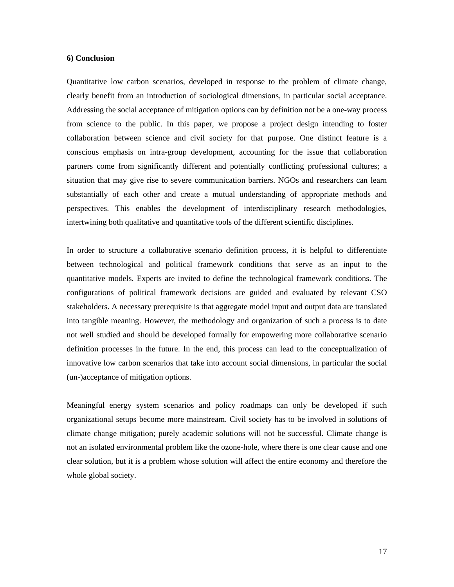#### **6) Conclusion**

Quantitative low carbon scenarios, developed in response to the problem of climate change, clearly benefit from an introduction of sociological dimensions, in particular social acceptance. Addressing the social acceptance of mitigation options can by definition not be a one-way process from science to the public. In this paper, we propose a project design intending to foster collaboration between science and civil society for that purpose. One distinct feature is a conscious emphasis on intra-group development, accounting for the issue that collaboration partners come from significantly different and potentially conflicting professional cultures; a situation that may give rise to severe communication barriers. NGOs and researchers can learn substantially of each other and create a mutual understanding of appropriate methods and perspectives. This enables the development of interdisciplinary research methodologies, intertwining both qualitative and quantitative tools of the different scientific disciplines.

In order to structure a collaborative scenario definition process, it is helpful to differentiate between technological and political framework conditions that serve as an input to the quantitative models. Experts are invited to define the technological framework conditions. The configurations of political framework decisions are guided and evaluated by relevant CSO stakeholders. A necessary prerequisite is that aggregate model input and output data are translated into tangible meaning. However, the methodology and organization of such a process is to date not well studied and should be developed formally for empowering more collaborative scenario definition processes in the future. In the end, this process can lead to the conceptualization of innovative low carbon scenarios that take into account social dimensions, in particular the social (un-)acceptance of mitigation options.

Meaningful energy system scenarios and policy roadmaps can only be developed if such organizational setups become more mainstream. Civil society has to be involved in solutions of climate change mitigation; purely academic solutions will not be successful. Climate change is not an isolated environmental problem like the ozone-hole, where there is one clear cause and one clear solution, but it is a problem whose solution will affect the entire economy and therefore the whole global society.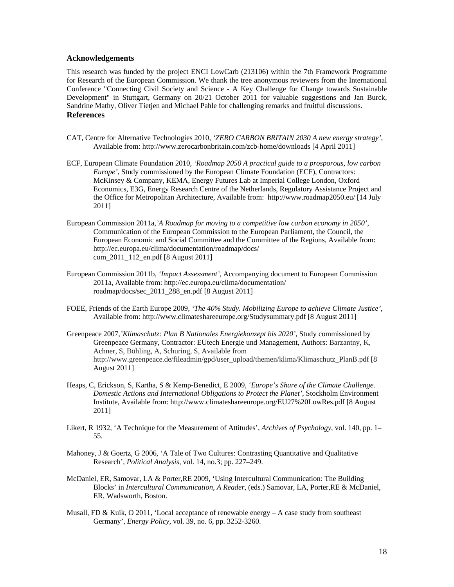#### **Acknowledgements**

This research was funded by the project ENCI LowCarb (213106) within the 7th Framework Programme for Research of the European Commission. We thank the tree anonymous reviewers from the International Conference "Connecting Civil Society and Science - A Key Challenge for Change towards Sustainable Development" in Stuttgart, Germany on 20/21 October 2011 for valuable suggestions and Jan Burck, Sandrine Mathy, Oliver Tietjen and Michael Pahle for challenging remarks and fruitful discussions. **References** 

- CAT, Centre for Alternative Technologies 2010, *'ZERO CARBON BRITAIN 2030 A new energy strategy'*, Available from: http://www.zerocarbonbritain.com/zcb-home/downloads [4 April 2011]
- ECF, European Climate Foundation 2010*, 'Roadmap 2050 A practical guide to a prosporous, low carbon Europe'*, Study commissioned by the European Climate Foundation (ECF), Contractors: McKinsey & Company, KEMA, Energy Futures Lab at Imperial College London, Oxford Economics, E3G, Energy Research Centre of the Netherlands, Regulatory Assistance Project and the Office for Metropolitan Architecture, Available from: http://www.roadmap2050.eu/ [14 July 2011]
- European Commission 2011a,*'A Roadmap for moving to a competitive low carbon economy in 2050'*, Communication of the European Commission to the European Parliament, the Council, the European Economic and Social Committee and the Committee of the Regions, Available from: http://ec.europa.eu/clima/documentation/roadmap/docs/ com\_2011\_112\_en.pdf [8 August 2011]
- European Commission 2011b, *'Impact Assessment'*, Accompanying document to European Commission 2011a, Available from: http://ec.europa.eu/clima/documentation/ roadmap/docs/sec\_2011\_288\_en.pdf [8 August 2011]
- FOEE, Friends of the Earth Europe 2009*, 'The 40% Study. Mobilizing Europe to achieve Climate Justice'*, Available from: http://www.climateshareeurope.org/Studysummary.pdf [8 August 2011]
- Greenpeace 2007,*'Klimaschutz: Plan B Nationales Energiekonzept bis 2020'*, Study commissioned by Greenpeace Germany, Contractor: EUtech Energie und Management, Authors: Barzantny, K, Achner, S, Böhling, A, Schuring, S, Available from http://www.greenpeace.de/fileadmin/gpd/user\_upload/themen/klima/Klimaschutz\_PlanB.pdf [8 August 2011]
- Heaps, C, Erickson, S, Kartha, S & Kemp-Benedict, E 2009, *'Europe's Share of the Climate Challenge. Domestic Actions and International Obligations to Protect the Planet'*, Stockholm Environment Institute, Available from: http://www.climateshareeurope.org/EU27%20LowRes.pdf [8 August 2011]
- Likert, R 1932, 'A Technique for the Measurement of Attitudes', *Archives of Psychology*, vol. 140, pp. 1– 55.
- Mahoney, J & Goertz, G 2006, 'A Tale of Two Cultures: Contrasting Quantitative and Qualitative Research', *Political Analysis*, vol. 14, no.3; pp. 227–249.
- McDaniel, ER, Samovar, LA & Porter,RE 2009, 'Using Intercultural Communication: The Building Blocks' in *Intercultural Communication, A Reader*, (eds.) Samovar, LA, Porter,RE & McDaniel, ER, Wadsworth, Boston.
- Musall, FD & Kuik, O 2011, 'Local acceptance of renewable energy  $-A$  case study from southeast Germany', *Energy Policy*, vol. 39, no. 6, pp. 3252-3260.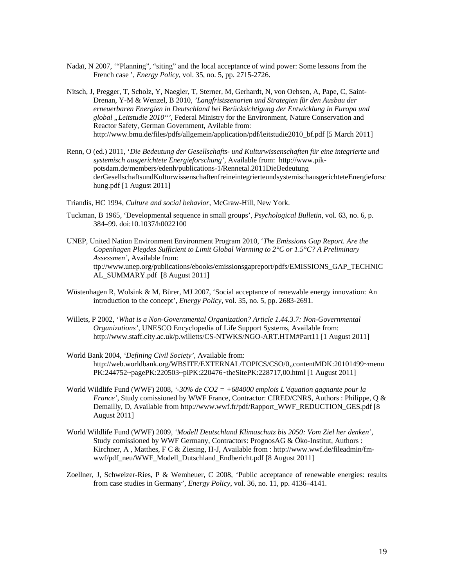- Nadaï, N 2007, '"Planning", "siting" and the local acceptance of wind power: Some lessons from the French case ', *Energy Policy*, vol. 35, no. 5, pp. 2715-2726.
- Nitsch, J, Pregger, T, Scholz, Y, Naegler, T, Sterner, M, Gerhardt, N, von Oehsen, A, Pape, C, Saint-Drenan, Y-M & Wenzel, B 2010, *'Langfristszenarien und Strategien für den Ausbau der erneuerbaren Energien in Deutschland bei Berücksichtigung der Entwicklung in Europa und global "Leitstudie 2010"'*, Federal Ministry for the Environment, Nature Conservation and Reactor Safety, German Government, Avilable from: http://www.bmu.de/files/pdfs/allgemein/application/pdf/leitstudie2010\_bf.pdf [5 March 2011]
- Renn, O (ed.) 2011, '*Die Bedeutung der Gesellschafts- und Kulturwissenschaften für eine integrierte und systemisch ausgerichtete Energieforschung'*, Available from: http://www.pikpotsdam.de/members/edenh/publications-1/Rennetal.2011DieBedeutung derGesellschaftsundKulturwissenschaftenfreineintegrierteundsystemischausgerichteteEnergieforsc hung.pdf [1 August 2011]
- Triandis, HC 1994, *Culture and social behavior*, McGraw-Hill, New York.
- Tuckman, B 1965, 'Developmental sequence in small groups', *Psychological Bulletin*, vol. 63, no. 6, p. 384–99. doi:10.1037/h0022100
- UNEP, United Nation Environment Environment Program 2010, '*The Emissions Gap Report. Are the Copenhagen Plegdes Sufficient to Limit Global Warming to 2°C or 1.5°C? A Preliminary Assessmen'*, Available from: ttp://www.unep.org/publications/ebooks/emissionsgapreport/pdfs/EMISSIONS\_GAP\_TECHNIC AL\_SUMMARY.pdf [8 August 2011]
- Wüstenhagen R, Wolsink & M, Bürer, MJ 2007, 'Social acceptance of renewable energy innovation: An introduction to the concept', *Energy Policy*, vol. 35, no. 5, pp. 2683-2691.
- Willets, P 2002, '*What is a Non-Governmental Organization? Article 1.44.3.7: Non-Governmental Organizations'*, UNESCO Encyclopedia of Life Support Systems, Available from: http://www.staff.city.ac.uk/p.willetts/CS-NTWKS/NGO-ART.HTM#Part11 [1 August 2011]
- World Bank 2004, *'Defining Civil Society'*, Available from: http://web.worldbank.org/WBSITE/EXTERNAL/TOPICS/CSO/0,.contentMDK:20101499~menu PK:244752~pagePK:220503~piPK:220476~theSitePK:228717,00.html [1 August 2011]
- World Wildlife Fund (WWF) 2008, *'-30% de CO2 = +684000 emplois L'équation gagnante pour la France'*, Study comissioned by WWF France, Contractor: CIRED/CNRS, Authors : Philippe, Q & Demailly, D, Available from http://www.wwf.fr/pdf/Rapport\_WWF\_REDUCTION\_GES.pdf [8] August 2011]
- World Wildlife Fund (WWF) 2009, *'Modell Deutschland Klimaschutz bis 2050: Vom Ziel her denken'*, Study comissioned by WWF Germany, Contractors: PrognosAG & Öko-Institut, Authors : Kirchner, A , Matthes, F C & Ziesing, H-J, Available from : http://www.wwf.de/fileadmin/fmwwf/pdf\_neu/WWF\_Modell\_Dutschland\_Endbericht.pdf [8 August 2011]
- Zoellner, J, Schweizer-Ries, P & Wemheuer, C 2008, 'Public acceptance of renewable energies: results from case studies in Germany', *Energy Policy*, vol. 36, no. 11, pp. 4136**–**4141.